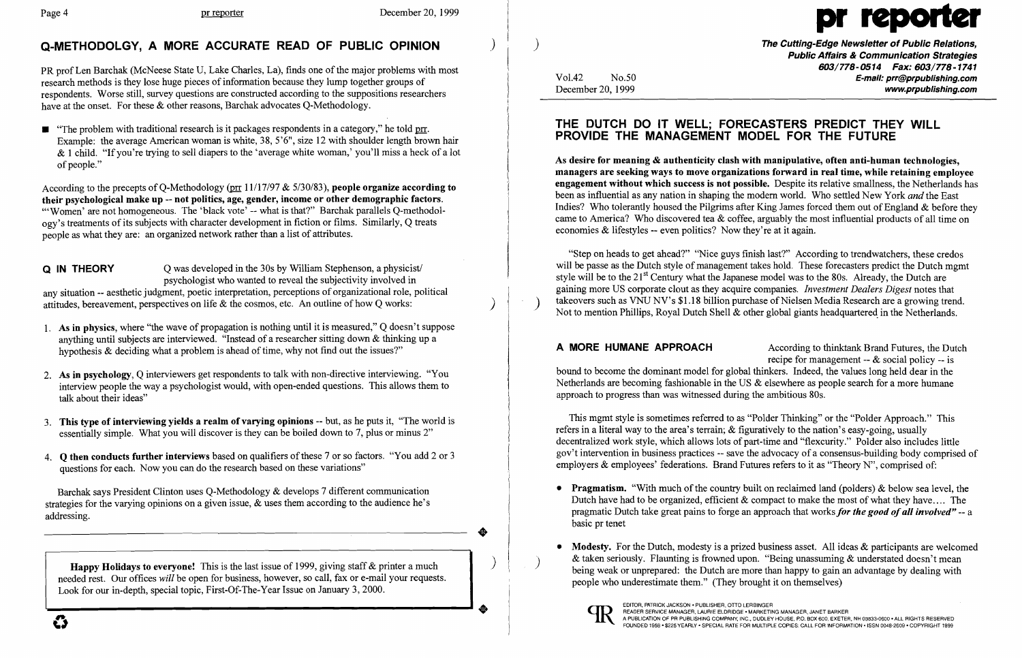$\left( \right)$ 

## Q-METHODOLGY, A MORE ACCURATE READ OF PUBLIC OPINION

PR prof Len Barchak (McNeese State U, Lake Charles, La), finds one of the major problems with most research methods is they lose huge pieces of information because they lump together groups of respondents. Worse still, survey questions are constructed according to the suppositions researchers have at the onset. For these & other reasons, Barchak advocates Q-Methodology.

 $\blacksquare$  "The problem with traditional research is it packages respondents in a category," he told prr. Example: the average American woman is white, 38, 5'6", size 12 with shoulder length brown hair  $& 1$  child. "If you're trying to sell diapers to the 'average white woman,' you'll miss a heck of a lot of people."

According to the precepts of Q-Methodology (pro  $11/17/97 \& 5/30/83$ ), people organize according to their psychological make up -- not politics, age, gender, income or other demographic factors. "'Women' are not homogeneous. The 'black vote' -- what is that?" Barchak parallels Q-methodology's treatments of its subjects with character development in fiction or films. Similarly, Q treats people as what they are: an organized network rather than a list of attributes.

**Q** IN THEORY Q was developed in the 30s by William Stephenson, a physicist/ psychologist who wanted to reveal the subjectivity involved in any situation -- aesthetic judgment, poetic interpretation, perceptions of organizational role, political attitudes, bereavement, perspectives on life & the cosmos, etc. An outline of how Q works:

Happy Holidays to everyone! This is the last issue of 1999, giving staff & printer a much needed rest. Our offices *will* be open for business, however, so call, fax or e-mail your requests. Look for our in-depth, special topic, First-Of-The-Year Issue on January 3, 2000.

) The Cutting-Edge Newsletter of Public Relations, Public Affairs & Communication Strategies 603/778-0514 Fax: 603/778-1741 Vol.42 No.50 No.50 No.50 No.50 No.50 E-mail: prr@prpublishing.com<br>December 20. 1999 No.50 No.50 No.50 No.50 No.50 No.50 No.50 No.50 No.50 No.50 No.50 No.50 No.50 No.50 No.50 No www.prpublishing.com

"Step on heads to get ahead?" "Nice guys finish last?" According to trendwatchers, these credos will be passe as the Dutch style of management takes hold. These forecasters predict the Dutch mgmt style will be to the 21<sup>st</sup> Century what the Japanese model was to the 80s. Already, the Dutch are gaining more US corporate clout as they acquire companies. *Investment Dealers Digest* notes that Not to mention Phillips, Royal Dutch Shell & other global giants headquartered in the Netherlands.

- 1. As in physics, where "the wave of propagation is nothing until it is measured," Q doesn't suppose anything until subjects are interviewed. "Instead of a researcher sitting down & thinking up a hypothesis  $\&$  deciding what a problem is ahead of time, why not find out the issues?"
- 2. As in psychology, Q interviewers get respondents to talk with non-directive interviewing. "You interview people the way a psychologist would, with open-ended questions. This allows them to talk about their ideas"
- 3. This type of interviewing yields a realm of varying opinions -- but, as he puts it, "The world is essentially simple. What you will discover is they can be boiled down to 7, plus or minus 2"
- 4. **O then conducts further interviews** based on qualifiers of these 7 or so factors. "You add 2 or 3 questions for each. Now you can do the research based on these variations"

This mgmt style is sometimes referred to as "Polder Thinking" or the "Polder Approach." This refers in a literal way to the area's terrain; & figuratively to the nation's easy-going, usually decentralized work style, which allows lots of part-time and "flexcurity." Polder also includes little gov't intervention in business practices -- save the advocacy of a consensus-building body comprised of employers & employees' federations. Brand Futures refers to it as "Theory N", comprised of:

Barchak says President Clinton uses Q-Methodology & develops 7 different communication strategies for the varying opinions on a given issue, & uses them according to the audience he's addressing.

• Pragmatism. "With much of the country built on reclaimed land (polders)  $\&$  below sea level, the Dutch have had to be organized, efficient  $\&$  compact to make the most of what they have.... The pragmatic Dutch take great pains to forge an approach that works *for the good ofall involved"* -- a

• Modesty. For the Dutch, modesty is a prized business asset. All ideas  $\&$  participants are welcomed & taken seriously. Flaunting is frowned upon. "Being unassuming & understated doesn't mean being weak or unprepared: the Dutch are more than happy to gain an advantage by dealing with

)

..

 $\left( \right)$ 

# Page 4 pr reporter December 20, 1999

### THE DUTCH DO IT WELL; FORECASTERS PREDICT THEY WILL PROVIDE THE MANAGEMENT MODEL FOR THE FUTURE

As desire for meaning & authenticity clash with manipulative, often anti-human technologies, managers are seeking ways to move organizations forward in real time, while retaining employee engagement without which success is not possible. Despite its relative smallness, the Netherlands has been as influential as any nation in shaping the modem world. Who settled New York *and* the East Indies? Who tolerantly housed the Pilgrims after King James forced them out of England & before they came to America? Who discovered tea & coffee, arguably the most influential products of all time on economies & lifestyles -- even politics? Now they're at it again.

A MORE HUMANE APPROACH According to thinktank Brand Futures, the Dutch recipe for management -- & social policy -- is bound to become the dominant model for global thinkers. Indeed, the values long held dear in the Netherlands are becoming fashionable in the US & elsewhere as people search for a more humane approach to progress than was witnessed during the ambitious 80s.

- basic pr tenet
- people who underestimate them." (They brought it on themselves)